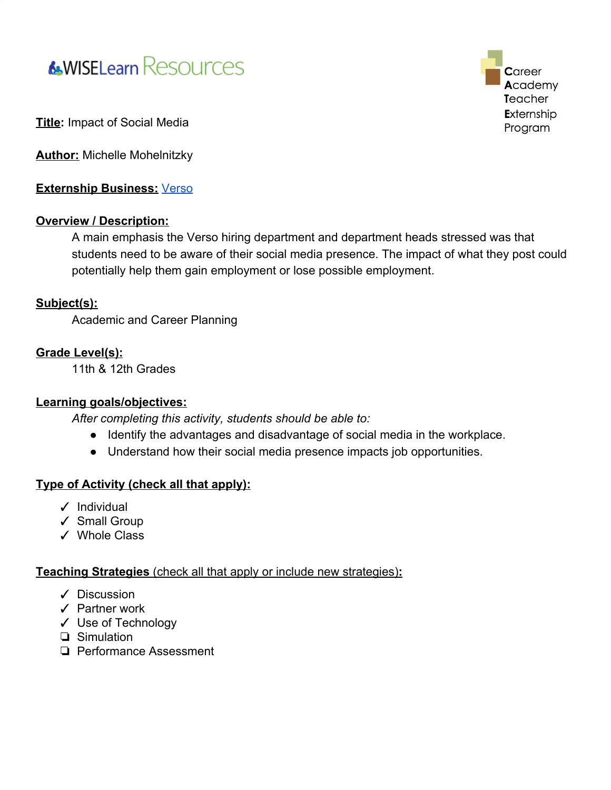# **&WISELearn Resources**

**Career** Academy Teacher Externship Program

**Title:** Impact of Social Media

**Author:** Michelle Mohelnitzky

**Externship Business:** [Verso](https://www.versoco.com/wps/portal/corporate/home/!ut/p/z1/hY7LDoIwEEW_hQVbOlAgxF0XpiIFNYpiNwYMFgxQAhV-X6JuTHzM7s49ZzKIowTxJh1KkapSNmk15SN3T2wdWIvAtqiHCQbfjZi92sUYqIkO_wA-1fBlCEw-fyBz6kYhc0ygMXPB30LsbMK96WH7Bfy4sURcVDJ7vkuaDHsC8S6_5F3eGbduWhdKtf1MBx3GcTSElKLKjbOsdfikFLJXKHknUVsncHWqgRFNuwOZfQQ6/dz/d5/L2dBISEvZ0FBIS9nQSEh/)

#### **Overview / Description:**

A main emphasis the Verso hiring department and department heads stressed was that students need to be aware of their social media presence. The impact of what they post could potentially help them gain employment or lose possible employment.

#### **Subject(s):**

Academic and Career Planning

#### **Grade Level(s):**

11th & 12th Grades

#### **Learning goals/objectives:**

*After completing this activity, students should be able to:*

- *●* Identify the advantages and disadvantage of social media in the workplace.
- Understand how their social media presence impacts job opportunities.

#### **Type of Activity (check all that apply):**

- ✓ Individual
- ✓ Small Group
- ✓ Whole Class

#### **Teaching Strategies** (check all that apply or include new strategies)**:**

- ✓ Discussion
- ✓ Partner work
- ✓ Use of Technology
- ❏ Simulation
- ❏ Performance Assessment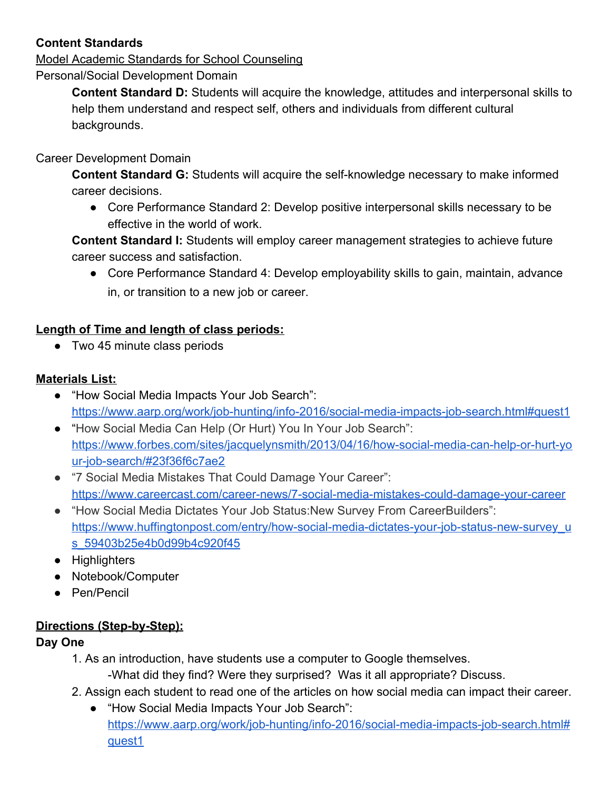# **Content Standards**

Model Academic Standards for School Counseling Personal/Social Development Domain

> **Content Standard D:** Students will acquire the knowledge, attitudes and interpersonal skills to help them understand and respect self, others and individuals from different cultural backgrounds.

#### Career Development Domain

**Content Standard G:** Students will acquire the self-knowledge necessary to make informed career decisions.

● Core Performance Standard 2: Develop positive interpersonal skills necessary to be effective in the world of work.

**Content Standard I:** Students will employ career management strategies to achieve future career success and satisfaction.

● Core Performance Standard 4: Develop employability skills to gain, maintain, advance in, or transition to a new job or career.

# **Length of Time and length of class periods:**

● Two 45 minute class periods

#### **Materials List:**

- "How Social Media Impacts Your Job Search": <https://www.aarp.org/work/job-hunting/info-2016/social-media-impacts-job-search.html#quest1>
- "How Social Media Can Help (Or Hurt) You In Your Job Search": [https://www.forbes.com/sites/jacquelynsmith/2013/04/16/how-social-media-can-help-or-hurt-yo](https://www.forbes.com/sites/jacquelynsmith/2013/04/16/how-social-media-can-help-or-hurt-your-job-search/#23f36f6c7ae2) [ur-job-search/#23f36f6c7ae2](https://www.forbes.com/sites/jacquelynsmith/2013/04/16/how-social-media-can-help-or-hurt-your-job-search/#23f36f6c7ae2)
- "7 Social Media Mistakes That Could Damage Your Career": <https://www.careercast.com/career-news/7-social-media-mistakes-could-damage-your-career>
- "How Social Media Dictates Your Job Status:New Survey From CareerBuilders": [https://www.huffingtonpost.com/entry/how-social-media-dictates-your-job-status-new-survey\\_u](https://www.huffingtonpost.com/entry/how-social-media-dictates-your-job-status-new-survey_us_59403b25e4b0d99b4c920f45) [s\\_59403b25e4b0d99b4c920f45](https://www.huffingtonpost.com/entry/how-social-media-dictates-your-job-status-new-survey_us_59403b25e4b0d99b4c920f45)
- Highlighters
- Notebook/Computer
- Pen/Pencil

# **Directions (Step-by-Step):**

# **Day One**

1. As an introduction, have students use a computer to Google themselves.

-What did they find? Were they surprised? Was it all appropriate? Discuss.

- 2. Assign each student to read one of the articles on how social media can impact their career.
	- "How Social Media Impacts Your Job Search": [https://www.aarp.org/work/job-hunting/info-2016/social-media-impacts-job-search.html#](https://www.aarp.org/work/job-hunting/info-2016/social-media-impacts-job-search.html#quest1) [quest1](https://www.aarp.org/work/job-hunting/info-2016/social-media-impacts-job-search.html#quest1)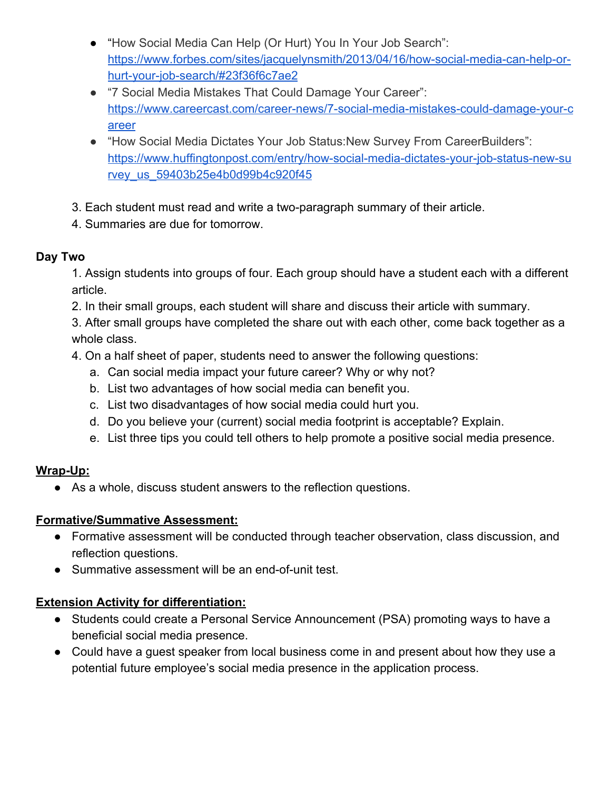- "How Social Media Can Help (Or Hurt) You In Your Job Search": [https://www.forbes.com/sites/jacquelynsmith/2013/04/16/how-social-media-can-help-or](https://www.forbes.com/sites/jacquelynsmith/2013/04/16/how-social-media-can-help-or-hurt-your-job-search/#23f36f6c7ae2)[hurt-your-job-search/#23f36f6c7ae2](https://www.forbes.com/sites/jacquelynsmith/2013/04/16/how-social-media-can-help-or-hurt-your-job-search/#23f36f6c7ae2)
- "7 Social Media Mistakes That Could Damage Your Career": [https://www.careercast.com/career-news/7-social-media-mistakes-could-damage-your-c](https://www.careercast.com/career-news/7-social-media-mistakes-could-damage-your-career) [areer](https://www.careercast.com/career-news/7-social-media-mistakes-could-damage-your-career)
- "How Social Media Dictates Your Job Status:New Survey From CareerBuilders": [https://www.huffingtonpost.com/entry/how-social-media-dictates-your-job-status-new-su](https://www.huffingtonpost.com/entry/how-social-media-dictates-your-job-status-new-survey_us_59403b25e4b0d99b4c920f45) rvey us 59403b25e4b0d99b4c920f45
- 3. Each student must read and write a two-paragraph summary of their article.
- 4. Summaries are due for tomorrow.

# **Day Two**

1. Assign students into groups of four. Each group should have a student each with a different article.

2. In their small groups, each student will share and discuss their article with summary.

3. After small groups have completed the share out with each other, come back together as a whole class.

- 4. On a half sheet of paper, students need to answer the following questions:
	- a. Can social media impact your future career? Why or why not?
	- b. List two advantages of how social media can benefit you.
	- c. List two disadvantages of how social media could hurt you.
	- d. Do you believe your (current) social media footprint is acceptable? Explain.
	- e. List three tips you could tell others to help promote a positive social media presence.

# **Wrap-Up:**

● As a whole, discuss student answers to the reflection questions.

# **Formative/Summative Assessment:**

- Formative assessment will be conducted through teacher observation, class discussion, and reflection questions.
- Summative assessment will be an end-of-unit test.

# **Extension Activity for differentiation:**

- Students could create a Personal Service Announcement (PSA) promoting ways to have a beneficial social media presence.
- Could have a guest speaker from local business come in and present about how they use a potential future employee's social media presence in the application process.